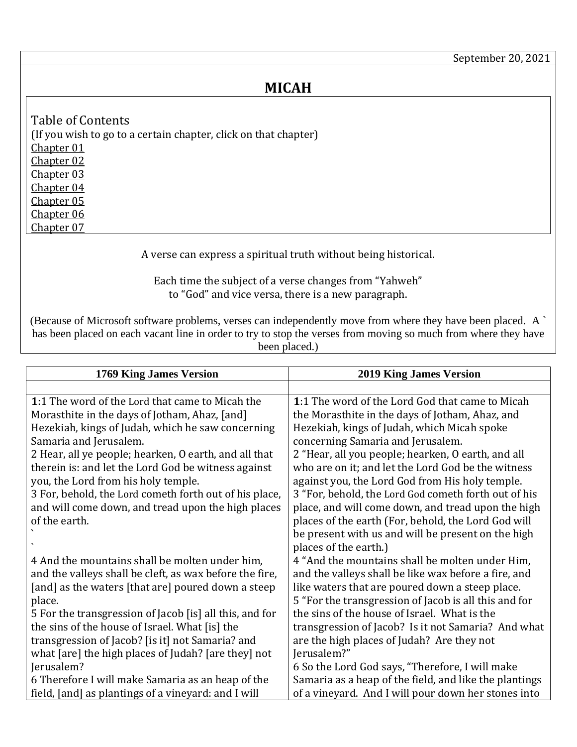## **MICAH**

<span id="page-0-6"></span><span id="page-0-5"></span><span id="page-0-4"></span><span id="page-0-3"></span><span id="page-0-2"></span><span id="page-0-1"></span>Table of Contents (If you wish to go to a certain chapter, click on that chapter) [Chapter 01](#page-0-0) [Chapter 02](#page-1-0) [Chapter 03](#page-2-0) [Chapter 04](#page-3-0) [Chapter 05](#page-5-0) [Chapter 06](#page-6-0) [Chapter 07](#page-7-0)

A verse can express a spiritual truth without being historical.

Each time the subject of a verse changes from "Yahweh" to "God" and vice versa, there is a new paragraph.

<span id="page-0-7"></span>(Because of Microsoft software problems, verses can independently move from where they have been placed. A ` has been placed on each vacant line in order to try to stop the verses from moving so much from where they have been placed.)

<span id="page-0-0"></span>

| 1769 King James Version                                 | <b>2019 King James Version</b>                         |
|---------------------------------------------------------|--------------------------------------------------------|
|                                                         |                                                        |
| 1:1 The word of the Lord that came to Micah the         | 1:1 The word of the Lord God that came to Micah        |
| Morasthite in the days of Jotham, Ahaz, [and]           | the Morasthite in the days of Jotham, Ahaz, and        |
| Hezekiah, kings of Judah, which he saw concerning       | Hezekiah, kings of Judah, which Micah spoke            |
| Samaria and Jerusalem.                                  | concerning Samaria and Jerusalem.                      |
| 2 Hear, all ye people; hearken, O earth, and all that   | 2 "Hear, all you people; hearken, O earth, and all     |
| therein is: and let the Lord God be witness against     | who are on it; and let the Lord God be the witness     |
| you, the Lord from his holy temple.                     | against you, the Lord God from His holy temple.        |
| 3 For, behold, the Lord cometh forth out of his place,  | 3 "For, behold, the Lord God cometh forth out of his   |
| and will come down, and tread upon the high places      | place, and will come down, and tread upon the high     |
| of the earth.                                           | places of the earth (For, behold, the Lord God will    |
|                                                         | be present with us and will be present on the high     |
|                                                         | places of the earth.)                                  |
| 4 And the mountains shall be molten under him,          | 4 "And the mountains shall be molten under Him,        |
| and the valleys shall be cleft, as wax before the fire, | and the valleys shall be like wax before a fire, and   |
| [and] as the waters [that are] poured down a steep      | like waters that are poured down a steep place.        |
| place.                                                  | 5 "For the transgression of Jacob is all this and for  |
| 5 For the transgression of Jacob [is] all this, and for | the sins of the house of Israel. What is the           |
| the sins of the house of Israel. What [is] the          | transgression of Jacob? Is it not Samaria? And what    |
| transgression of Jacob? [is it] not Samaria? and        | are the high places of Judah? Are they not             |
| what [are] the high places of Judah? [are they] not     | Jerusalem?"                                            |
| Jerusalem?                                              | 6 So the Lord God says, "Therefore, I will make        |
| 6 Therefore I will make Samaria as an heap of the       | Samaria as a heap of the field, and like the plantings |
| field, [and] as plantings of a vineyard: and I will     | of a vineyard. And I will pour down her stones into    |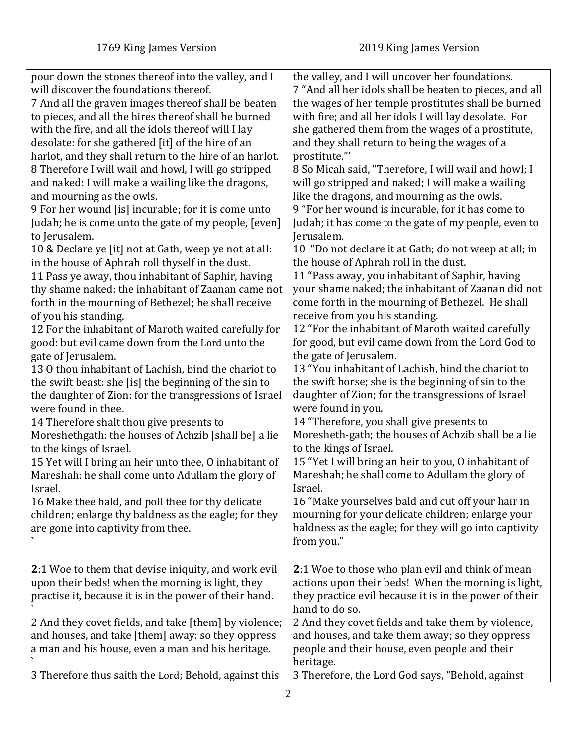<span id="page-1-0"></span>

| pour down the stones thereof into the valley, and I<br>will discover the foundations thereof.<br>7 And all the graven images thereof shall be beaten<br>to pieces, and all the hires thereof shall be burned<br>with the fire, and all the idols thereof will I lay<br>desolate: for she gathered [it] of the hire of an<br>harlot, and they shall return to the hire of an harlot.<br>8 Therefore I will wail and howl, I will go stripped<br>and naked: I will make a wailing like the dragons,<br>and mourning as the owls.<br>9 For her wound [is] incurable; for it is come unto<br>Judah; he is come unto the gate of my people, [even]<br>to Jerusalem.<br>10 & Declare ye [it] not at Gath, weep ye not at all:<br>in the house of Aphrah roll thyself in the dust.<br>11 Pass ye away, thou inhabitant of Saphir, having<br>thy shame naked: the inhabitant of Zaanan came not<br>forth in the mourning of Bethezel; he shall receive<br>of you his standing.<br>12 For the inhabitant of Maroth waited carefully for<br>good: but evil came down from the Lord unto the<br>gate of Jerusalem.<br>13 O thou inhabitant of Lachish, bind the chariot to<br>the swift beast: she [is] the beginning of the sin to<br>the daughter of Zion: for the transgressions of Israel<br>were found in thee.<br>14 Therefore shalt thou give presents to<br>Moreshethgath: the houses of Achzib [shall be] a lie<br>to the kings of Israel.<br>15 Yet will I bring an heir unto thee, O inhabitant of<br>Mareshah: he shall come unto Adullam the glory of<br>Israel.<br>16 Make thee bald, and poll thee for thy delicate<br>children; enlarge thy baldness as the eagle; for they | the valley, and I will uncover her foundations.<br>7 "And all her idols shall be beaten to pieces, and all<br>the wages of her temple prostitutes shall be burned<br>with fire; and all her idols I will lay desolate. For<br>she gathered them from the wages of a prostitute,<br>and they shall return to being the wages of a<br>prostitute."'<br>8 So Micah said, "Therefore, I will wail and howl; I<br>will go stripped and naked; I will make a wailing<br>like the dragons, and mourning as the owls.<br>9 "For her wound is incurable, for it has come to<br>Judah; it has come to the gate of my people, even to<br>Jerusalem.<br>10 "Do not declare it at Gath; do not weep at all; in<br>the house of Aphrah roll in the dust.<br>11 "Pass away, you inhabitant of Saphir, having<br>your shame naked; the inhabitant of Zaanan did not<br>come forth in the mourning of Bethezel. He shall<br>receive from you his standing.<br>12 "For the inhabitant of Maroth waited carefully<br>for good, but evil came down from the Lord God to<br>the gate of Jerusalem.<br>13 "You inhabitant of Lachish, bind the chariot to<br>the swift horse; she is the beginning of sin to the<br>daughter of Zion; for the transgressions of Israel<br>were found in you.<br>14 "Therefore, you shall give presents to<br>Moresheth-gath; the houses of Achzib shall be a lie<br>to the kings of Israel.<br>15 "Yet I will bring an heir to you, O inhabitant of<br>Mareshah; he shall come to Adullam the glory of<br>Israel.<br>16 "Make yourselves bald and cut off your hair in<br>mourning for your delicate children; enlarge your |
|----------------------------------------------------------------------------------------------------------------------------------------------------------------------------------------------------------------------------------------------------------------------------------------------------------------------------------------------------------------------------------------------------------------------------------------------------------------------------------------------------------------------------------------------------------------------------------------------------------------------------------------------------------------------------------------------------------------------------------------------------------------------------------------------------------------------------------------------------------------------------------------------------------------------------------------------------------------------------------------------------------------------------------------------------------------------------------------------------------------------------------------------------------------------------------------------------------------------------------------------------------------------------------------------------------------------------------------------------------------------------------------------------------------------------------------------------------------------------------------------------------------------------------------------------------------------------------------------------------------------------------------------------------------------------------|---------------------------------------------------------------------------------------------------------------------------------------------------------------------------------------------------------------------------------------------------------------------------------------------------------------------------------------------------------------------------------------------------------------------------------------------------------------------------------------------------------------------------------------------------------------------------------------------------------------------------------------------------------------------------------------------------------------------------------------------------------------------------------------------------------------------------------------------------------------------------------------------------------------------------------------------------------------------------------------------------------------------------------------------------------------------------------------------------------------------------------------------------------------------------------------------------------------------------------------------------------------------------------------------------------------------------------------------------------------------------------------------------------------------------------------------------------------------------------------------------------------------------------------------------------------------------------------------------------------------------------------|
| are gone into captivity from thee.                                                                                                                                                                                                                                                                                                                                                                                                                                                                                                                                                                                                                                                                                                                                                                                                                                                                                                                                                                                                                                                                                                                                                                                                                                                                                                                                                                                                                                                                                                                                                                                                                                               | baldness as the eagle; for they will go into captivity<br>from you."                                                                                                                                                                                                                                                                                                                                                                                                                                                                                                                                                                                                                                                                                                                                                                                                                                                                                                                                                                                                                                                                                                                                                                                                                                                                                                                                                                                                                                                                                                                                                                  |
|                                                                                                                                                                                                                                                                                                                                                                                                                                                                                                                                                                                                                                                                                                                                                                                                                                                                                                                                                                                                                                                                                                                                                                                                                                                                                                                                                                                                                                                                                                                                                                                                                                                                                  |                                                                                                                                                                                                                                                                                                                                                                                                                                                                                                                                                                                                                                                                                                                                                                                                                                                                                                                                                                                                                                                                                                                                                                                                                                                                                                                                                                                                                                                                                                                                                                                                                                       |
| 2:1 Woe to them that devise iniquity, and work evil<br>upon their beds! when the morning is light, they<br>practise it, because it is in the power of their hand.                                                                                                                                                                                                                                                                                                                                                                                                                                                                                                                                                                                                                                                                                                                                                                                                                                                                                                                                                                                                                                                                                                                                                                                                                                                                                                                                                                                                                                                                                                                | 2:1 Woe to those who plan evil and think of mean<br>actions upon their beds! When the morning is light,<br>they practice evil because it is in the power of their<br>hand to do so.                                                                                                                                                                                                                                                                                                                                                                                                                                                                                                                                                                                                                                                                                                                                                                                                                                                                                                                                                                                                                                                                                                                                                                                                                                                                                                                                                                                                                                                   |
| 2 And they covet fields, and take [them] by violence;<br>and houses, and take [them] away: so they oppress<br>a man and his house, even a man and his heritage.                                                                                                                                                                                                                                                                                                                                                                                                                                                                                                                                                                                                                                                                                                                                                                                                                                                                                                                                                                                                                                                                                                                                                                                                                                                                                                                                                                                                                                                                                                                  | 2 And they covet fields and take them by violence,<br>and houses, and take them away; so they oppress<br>people and their house, even people and their<br>heritage.                                                                                                                                                                                                                                                                                                                                                                                                                                                                                                                                                                                                                                                                                                                                                                                                                                                                                                                                                                                                                                                                                                                                                                                                                                                                                                                                                                                                                                                                   |
| 3 Therefore thus saith the Lord; Behold, against this                                                                                                                                                                                                                                                                                                                                                                                                                                                                                                                                                                                                                                                                                                                                                                                                                                                                                                                                                                                                                                                                                                                                                                                                                                                                                                                                                                                                                                                                                                                                                                                                                            | 3 Therefore, the Lord God says, "Behold, against                                                                                                                                                                                                                                                                                                                                                                                                                                                                                                                                                                                                                                                                                                                                                                                                                                                                                                                                                                                                                                                                                                                                                                                                                                                                                                                                                                                                                                                                                                                                                                                      |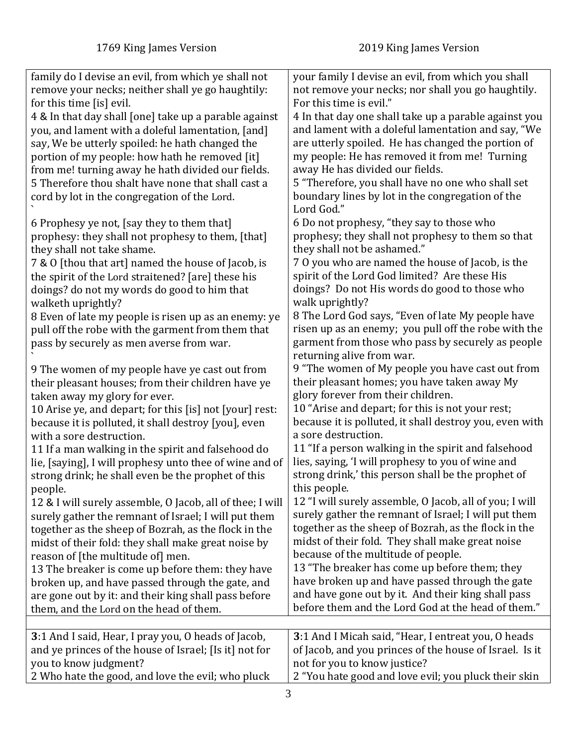<span id="page-2-0"></span>

| family do I devise an evil, from which ye shall not                  | your family I devise an evil, from which you shall      |
|----------------------------------------------------------------------|---------------------------------------------------------|
| remove your necks; neither shall ye go haughtily:                    | not remove your necks; nor shall you go haughtily.      |
| for this time [is] evil.                                             | For this time is evil."                                 |
| 4 & In that day shall [one] take up a parable against                | 4 In that day one shall take up a parable against you   |
| you, and lament with a doleful lamentation, [and]                    | and lament with a doleful lamentation and say, "We      |
| say, We be utterly spoiled: he hath changed the                      | are utterly spoiled. He has changed the portion of      |
| portion of my people: how hath he removed [it]                       | my people: He has removed it from me! Turning           |
| from me! turning away he hath divided our fields.                    | away He has divided our fields.                         |
| 5 Therefore thou shalt have none that shall cast a                   | 5 "Therefore, you shall have no one who shall set       |
| cord by lot in the congregation of the Lord.                         | boundary lines by lot in the congregation of the        |
|                                                                      | Lord God."                                              |
| 6 Prophesy ye not, [say they to them that]                           | 6 Do not prophesy, "they say to those who               |
| prophesy: they shall not prophesy to them, [that]                    | prophesy; they shall not prophesy to them so that       |
| they shall not take shame.                                           | they shall not be ashamed."                             |
| 7 & 0 [thou that art] named the house of Jacob, is                   | 7 0 you who are named the house of Jacob, is the        |
| the spirit of the Lord straitened? [are] these his                   | spirit of the Lord God limited? Are these His           |
| doings? do not my words do good to him that                          | doings? Do not His words do good to those who           |
| walketh uprightly?                                                   | walk uprightly?                                         |
| 8 Even of late my people is risen up as an enemy: ye                 | 8 The Lord God says, "Even of late My people have       |
| pull off the robe with the garment from them that                    | risen up as an enemy; you pull off the robe with the    |
| pass by securely as men averse from war.                             | garment from those who pass by securely as people       |
|                                                                      | returning alive from war.                               |
| 9 The women of my people have ye cast out from                       | 9 "The women of My people you have cast out from        |
| their pleasant houses; from their children have ye                   | their pleasant homes; you have taken away My            |
| taken away my glory for ever.                                        | glory forever from their children.                      |
| 10 Arise ye, and depart; for this [is] not [your] rest:              | 10 "Arise and depart; for this is not your rest;        |
| because it is polluted, it shall destroy [you], even                 | because it is polluted, it shall destroy you, even with |
| with a sore destruction.                                             | a sore destruction.                                     |
| 11 If a man walking in the spirit and falsehood do                   | 11 "If a person walking in the spirit and falsehood     |
| lie, [saying], I will prophesy unto thee of wine and of              | lies, saying, 'I will prophesy to you of wine and       |
| strong drink; he shall even be the prophet of this                   | strong drink,' this person shall be the prophet of      |
|                                                                      | this people.                                            |
| people.<br>12 & I will surely assemble, O Jacob, all of thee; I will | 12 "I will surely assemble, O Jacob, all of you; I will |
|                                                                      | surely gather the remnant of Israel; I will put them    |
| surely gather the remnant of Israel; I will put them                 | together as the sheep of Bozrah, as the flock in the    |
| together as the sheep of Bozrah, as the flock in the                 | midst of their fold. They shall make great noise        |
| midst of their fold: they shall make great noise by                  | because of the multitude of people.                     |
| reason of [the multitude of] men.                                    | 13 "The breaker has come up before them; they           |
| 13 The breaker is come up before them: they have                     |                                                         |
| broken up, and have passed through the gate, and                     | have broken up and have passed through the gate         |
| are gone out by it: and their king shall pass before                 | and have gone out by it. And their king shall pass      |
| them, and the Lord on the head of them.                              | before them and the Lord God at the head of them."      |
|                                                                      |                                                         |
| 3:1 And I said, Hear, I pray you, O heads of Jacob,                  | 3:1 And I Micah said, "Hear, I entreat you, O heads     |
| and ye princes of the house of Israel; [Is it] not for               | of Jacob, and you princes of the house of Israel. Is it |
| you to know judgment?                                                | not for you to know justice?                            |
| 2 Who hate the good, and love the evil; who pluck                    | 2 "You hate good and love evil; you pluck their skin    |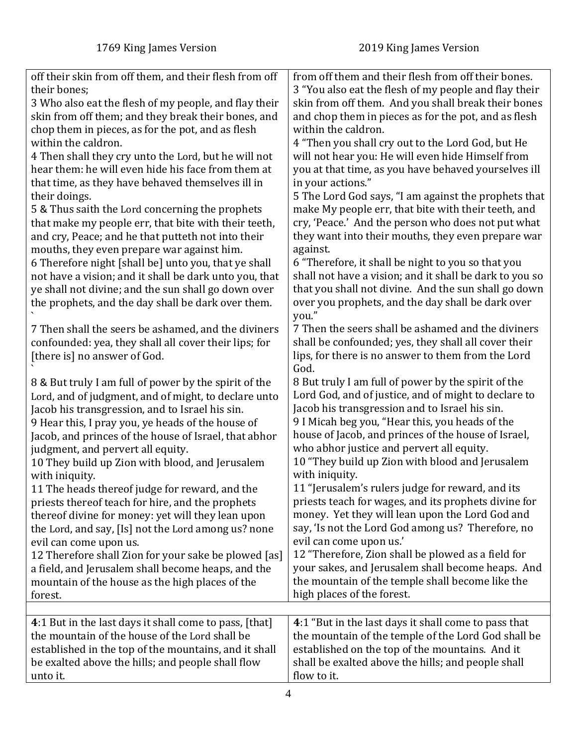<span id="page-3-0"></span>

| off their skin from off them, and their flesh from off | from off them and their flesh from off their bones.     |
|--------------------------------------------------------|---------------------------------------------------------|
| their bones;                                           | 3 "You also eat the flesh of my people and flay their   |
| 3 Who also eat the flesh of my people, and flay their  | skin from off them. And you shall break their bones     |
| skin from off them; and they break their bones, and    | and chop them in pieces as for the pot, and as flesh    |
| chop them in pieces, as for the pot, and as flesh      | within the caldron.                                     |
| within the caldron.                                    |                                                         |
|                                                        | 4 "Then you shall cry out to the Lord God, but He       |
| 4 Then shall they cry unto the Lord, but he will not   | will not hear you: He will even hide Himself from       |
| hear them: he will even hide his face from them at     | you at that time, as you have behaved yourselves ill    |
| that time, as they have behaved themselves ill in      | in your actions."                                       |
| their doings.                                          | 5 The Lord God says, "I am against the prophets that    |
| 5 & Thus saith the Lord concerning the prophets        | make My people err, that bite with their teeth, and     |
| that make my people err, that bite with their teeth,   | cry, 'Peace.' And the person who does not put what      |
| and cry, Peace; and he that putteth not into their     | they want into their mouths, they even prepare war      |
| mouths, they even prepare war against him.             | against.                                                |
| 6 Therefore night [shall be] unto you, that ye shall   | 6 "Therefore, it shall be night to you so that you      |
| not have a vision; and it shall be dark unto you, that | shall not have a vision; and it shall be dark to you so |
| ye shall not divine; and the sun shall go down over    | that you shall not divine. And the sun shall go down    |
| the prophets, and the day shall be dark over them.     | over you prophets, and the day shall be dark over       |
|                                                        | you."                                                   |
| 7 Then shall the seers be ashamed, and the diviners    | 7 Then the seers shall be ashamed and the diviners      |
| confounded: yea, they shall all cover their lips; for  | shall be confounded; yes, they shall all cover their    |
| [there is] no answer of God.                           | lips, for there is no answer to them from the Lord      |
|                                                        | God.                                                    |
| 8 & But truly I am full of power by the spirit of the  | 8 But truly I am full of power by the spirit of the     |
| Lord, and of judgment, and of might, to declare unto   | Lord God, and of justice, and of might to declare to    |
| Jacob his transgression, and to Israel his sin.        | Jacob his transgression and to Israel his sin.          |
| 9 Hear this, I pray you, ye heads of the house of      | 9 I Micah beg you, "Hear this, you heads of the         |
| Jacob, and princes of the house of Israel, that abhor  | house of Jacob, and princes of the house of Israel,     |
| judgment, and pervert all equity.                      | who abhor justice and pervert all equity.               |
| 10 They build up Zion with blood, and Jerusalem        | 10 "They build up Zion with blood and Jerusalem         |
| with iniquity.                                         | with iniquity.                                          |
| 11 The heads thereof judge for reward, and the         | 11 "Jerusalem's rulers judge for reward, and its        |
| priests thereof teach for hire, and the prophets       | priests teach for wages, and its prophets divine for    |
| thereof divine for money: yet will they lean upon      | money. Yet they will lean upon the Lord God and         |
| the Lord, and say, [Is] not the Lord among us? none    | say, 'Is not the Lord God among us? Therefore, no       |
| evil can come upon us.                                 | evil can come upon us.'                                 |
| 12 Therefore shall Zion for your sake be plowed [as]   | 12 "Therefore, Zion shall be plowed as a field for      |
| a field, and Jerusalem shall become heaps, and the     | your sakes, and Jerusalem shall become heaps. And       |
|                                                        | the mountain of the temple shall become like the        |
| mountain of the house as the high places of the        | high places of the forest.                              |
| forest.                                                |                                                         |
|                                                        |                                                         |
| 4:1 But in the last days it shall come to pass, [that] | 4:1 "But in the last days it shall come to pass that    |
| the mountain of the house of the Lord shall be         | the mountain of the temple of the Lord God shall be     |
| established in the top of the mountains, and it shall  | established on the top of the mountains. And it         |
| be exalted above the hills; and people shall flow      | shall be exalted above the hills; and people shall      |
| unto it.                                               | flow to it.                                             |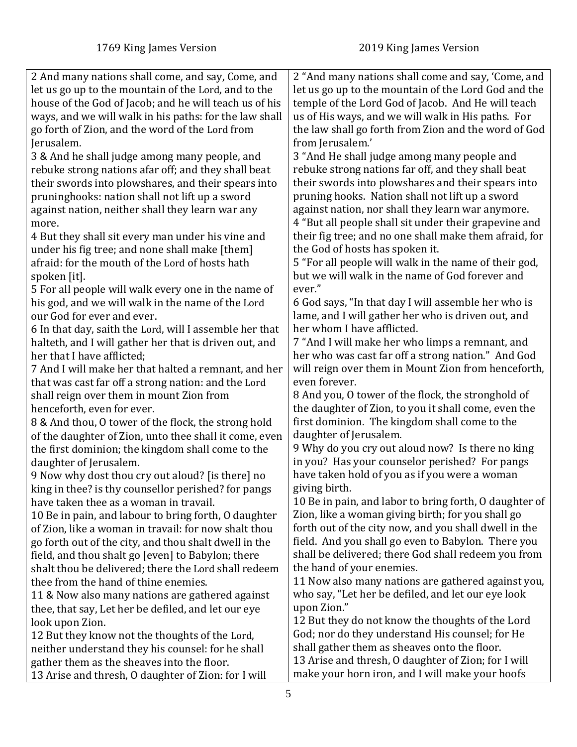| 2 And many nations shall come, and say, Come, and       | 2 "And many nations shall come and say, 'Come, and     |
|---------------------------------------------------------|--------------------------------------------------------|
| let us go up to the mountain of the Lord, and to the    | let us go up to the mountain of the Lord God and the   |
| house of the God of Jacob; and he will teach us of his  | temple of the Lord God of Jacob. And He will teach     |
| ways, and we will walk in his paths: for the law shall  | us of His ways, and we will walk in His paths. For     |
| go forth of Zion, and the word of the Lord from         | the law shall go forth from Zion and the word of God   |
| Jerusalem.                                              | from Jerusalem.'                                       |
|                                                         |                                                        |
| 3 & And he shall judge among many people, and           | 3 "And He shall judge among many people and            |
| rebuke strong nations afar off; and they shall beat     | rebuke strong nations far off, and they shall beat     |
| their swords into plowshares, and their spears into     | their swords into plowshares and their spears into     |
| pruninghooks: nation shall not lift up a sword          | pruning hooks. Nation shall not lift up a sword        |
| against nation, neither shall they learn war any        | against nation, nor shall they learn war anymore.      |
| more.                                                   | 4 "But all people shall sit under their grapevine and  |
| 4 But they shall sit every man under his vine and       | their fig tree; and no one shall make them afraid, for |
| under his fig tree; and none shall make [them]          | the God of hosts has spoken it.                        |
| afraid: for the mouth of the Lord of hosts hath         | 5 "For all people will walk in the name of their god,  |
| spoken [it].                                            | but we will walk in the name of God forever and        |
| 5 For all people will walk every one in the name of     | ever."                                                 |
| his god, and we will walk in the name of the Lord       | 6 God says, "In that day I will assemble her who is    |
| our God for ever and ever.                              | lame, and I will gather her who is driven out, and     |
| 6 In that day, saith the Lord, will I assemble her that | her whom I have afflicted.                             |
| halteth, and I will gather her that is driven out, and  | 7 "And I will make her who limps a remnant, and        |
| her that I have afflicted;                              | her who was cast far off a strong nation." And God     |
| 7 And I will make her that halted a remnant, and her    | will reign over them in Mount Zion from henceforth,    |
|                                                         | even forever.                                          |
| that was cast far off a strong nation: and the Lord     |                                                        |
| shall reign over them in mount Zion from                | 8 And you, O tower of the flock, the stronghold of     |
| henceforth, even for ever.                              | the daughter of Zion, to you it shall come, even the   |
| 8 & And thou, O tower of the flock, the strong hold     | first dominion. The kingdom shall come to the          |
| of the daughter of Zion, unto thee shall it come, even  | daughter of Jerusalem.                                 |
| the first dominion; the kingdom shall come to the       | 9 Why do you cry out aloud now? Is there no king       |
| daughter of Jerusalem.                                  | in you? Has your counselor perished? For pangs         |
| 9 Now why dost thou cry out aloud? [is there] no        | have taken hold of you as if you were a woman          |
| king in thee? is thy counsellor perished? for pangs     | giving birth.                                          |
| have taken thee as a woman in travail.                  | 10 Be in pain, and labor to bring forth, O daughter of |
| 10 Be in pain, and labour to bring forth, O daughter    | Zion, like a woman giving birth; for you shall go      |
| of Zion, like a woman in travail: for now shalt thou    | forth out of the city now, and you shall dwell in the  |
| go forth out of the city, and thou shalt dwell in the   | field. And you shall go even to Babylon. There you     |
| field, and thou shalt go [even] to Babylon; there       | shall be delivered; there God shall redeem you from    |
| shalt thou be delivered; there the Lord shall redeem    | the hand of your enemies.                              |
| thee from the hand of thine enemies.                    | 11 Now also many nations are gathered against you,     |
| 11 & Now also many nations are gathered against         | who say, "Let her be defiled, and let our eye look     |
|                                                         | upon Zion."                                            |
| thee, that say, Let her be defiled, and let our eye     | 12 But they do not know the thoughts of the Lord       |
| look upon Zion.                                         | God; nor do they understand His counsel; for He        |
| 12 But they know not the thoughts of the Lord,          |                                                        |
| neither understand they his counsel: for he shall       | shall gather them as sheaves onto the floor.           |
| gather them as the sheaves into the floor.              | 13 Arise and thresh, O daughter of Zion; for I will    |
| 13 Arise and thresh, O daughter of Zion: for I will     | make your horn iron, and I will make your hoofs        |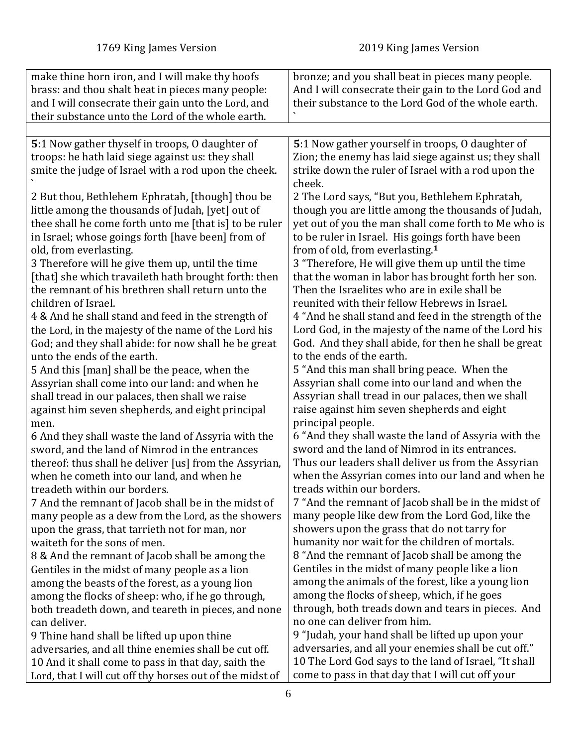<span id="page-5-0"></span>

| make thine horn iron, and I will make thy hoofs                                                           | bronze; and you shall beat in pieces many people.                                                   |
|-----------------------------------------------------------------------------------------------------------|-----------------------------------------------------------------------------------------------------|
| brass: and thou shalt beat in pieces many people:                                                         | And I will consecrate their gain to the Lord God and                                                |
| and I will consecrate their gain unto the Lord, and                                                       | their substance to the Lord God of the whole earth.                                                 |
| their substance unto the Lord of the whole earth.                                                         |                                                                                                     |
|                                                                                                           |                                                                                                     |
| 5:1 Now gather thyself in troops, 0 daughter of                                                           | 5:1 Now gather yourself in troops, O daughter of                                                    |
| troops: he hath laid siege against us: they shall                                                         | Zion; the enemy has laid siege against us; they shall                                               |
| smite the judge of Israel with a rod upon the cheek.                                                      | strike down the ruler of Israel with a rod upon the                                                 |
|                                                                                                           | cheek.                                                                                              |
| 2 But thou, Bethlehem Ephratah, [though] thou be                                                          | 2 The Lord says, "But you, Bethlehem Ephratah,                                                      |
| little among the thousands of Judah, [yet] out of                                                         | though you are little among the thousands of Judah,                                                 |
| thee shall he come forth unto me [that is] to be ruler                                                    | yet out of you the man shall come forth to Me who is                                                |
| in Israel; whose goings forth [have been] from of                                                         | to be ruler in Israel. His goings forth have been                                                   |
| old, from everlasting.                                                                                    | from of old, from everlasting. <sup>1</sup>                                                         |
| 3 Therefore will he give them up, until the time                                                          | 3 "Therefore, He will give them up until the time                                                   |
| [that] she which travaileth hath brought forth: then<br>the remnant of his brethren shall return unto the | that the woman in labor has brought forth her son.<br>Then the Israelites who are in exile shall be |
| children of Israel.                                                                                       | reunited with their fellow Hebrews in Israel.                                                       |
| 4 & And he shall stand and feed in the strength of                                                        | 4 "And he shall stand and feed in the strength of the                                               |
| the Lord, in the majesty of the name of the Lord his                                                      | Lord God, in the majesty of the name of the Lord his                                                |
| God; and they shall abide: for now shall he be great                                                      | God. And they shall abide, for then he shall be great                                               |
| unto the ends of the earth.                                                                               | to the ends of the earth.                                                                           |
| 5 And this [man] shall be the peace, when the                                                             | 5 "And this man shall bring peace. When the                                                         |
| Assyrian shall come into our land: and when he                                                            | Assyrian shall come into our land and when the                                                      |
| shall tread in our palaces, then shall we raise                                                           | Assyrian shall tread in our palaces, then we shall                                                  |
| against him seven shepherds, and eight principal                                                          | raise against him seven shepherds and eight                                                         |
| men.                                                                                                      | principal people.                                                                                   |
| 6 And they shall waste the land of Assyria with the                                                       | 6 "And they shall waste the land of Assyria with the                                                |
| sword, and the land of Nimrod in the entrances                                                            | sword and the land of Nimrod in its entrances.                                                      |
| thereof: thus shall he deliver [us] from the Assyrian,                                                    | Thus our leaders shall deliver us from the Assyrian                                                 |
| when he cometh into our land, and when he                                                                 | when the Assyrian comes into our land and when he                                                   |
| treadeth within our borders.                                                                              | treads within our borders.                                                                          |
| 7 And the remnant of Jacob shall be in the midst of                                                       | 7 "And the remnant of Jacob shall be in the midst of                                                |
| many people as a dew from the Lord, as the showers                                                        | many people like dew from the Lord God, like the                                                    |
| upon the grass, that tarrieth not for man, nor                                                            | showers upon the grass that do not tarry for                                                        |
| waiteth for the sons of men.                                                                              | humanity nor wait for the children of mortals.                                                      |
| 8 & And the remnant of Jacob shall be among the                                                           | 8 "And the remnant of Jacob shall be among the                                                      |
| Gentiles in the midst of many people as a lion                                                            | Gentiles in the midst of many people like a lion                                                    |
| among the beasts of the forest, as a young lion                                                           | among the animals of the forest, like a young lion                                                  |
| among the flocks of sheep: who, if he go through,                                                         | among the flocks of sheep, which, if he goes                                                        |
| both treadeth down, and teareth in pieces, and none                                                       | through, both treads down and tears in pieces. And                                                  |
| can deliver.                                                                                              | no one can deliver from him.                                                                        |
| 9 Thine hand shall be lifted up upon thine                                                                | 9 "Judah, your hand shall be lifted up upon your                                                    |
| adversaries, and all thine enemies shall be cut off.                                                      | adversaries, and all your enemies shall be cut off."                                                |
| 10 And it shall come to pass in that day, saith the                                                       | 10 The Lord God says to the land of Israel, "It shall                                               |
| Lord, that I will cut off thy horses out of the midst of                                                  | come to pass in that day that I will cut off your                                                   |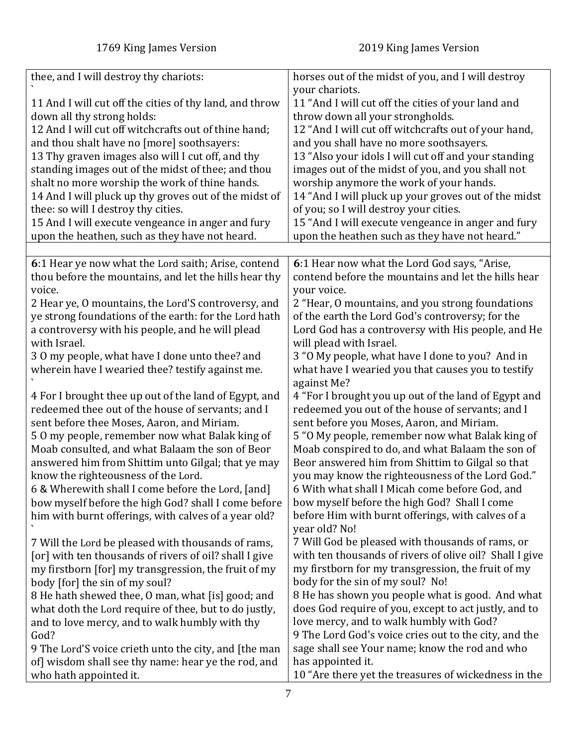<span id="page-6-0"></span>

| thee, and I will destroy thy chariots:<br>horses out of the midst of you, and I will destroy                          |  |
|-----------------------------------------------------------------------------------------------------------------------|--|
| your chariots.                                                                                                        |  |
| 11 "And I will cut off the cities of your land and<br>11 And I will cut off the cities of thy land, and throw         |  |
| down all thy strong holds:<br>throw down all your strongholds.                                                        |  |
| 12 And I will cut off witchcrafts out of thine hand;<br>12 "And I will cut off witchcrafts out of your hand,          |  |
| and thou shalt have no [more] soothsayers:<br>and you shall have no more soothsayers.                                 |  |
| 13 Thy graven images also will I cut off, and thy<br>13 "Also your idols I will cut off and your standing             |  |
| standing images out of the midst of thee; and thou<br>images out of the midst of you, and you shall not               |  |
| worship anymore the work of your hands.<br>shalt no more worship the work of thine hands.                             |  |
| 14 And I will pluck up thy groves out of the midst of<br>14 "And I will pluck up your groves out of the midst         |  |
| thee: so will I destroy thy cities.<br>of you; so I will destroy your cities.                                         |  |
| 15 And I will execute vengeance in anger and fury<br>15 "And I will execute vengeance in anger and fury               |  |
| upon the heathen, such as they have not heard.<br>upon the heathen such as they have not heard."                      |  |
|                                                                                                                       |  |
| 6:1 Hear ye now what the Lord saith; Arise, contend<br>6:1 Hear now what the Lord God says, "Arise,                   |  |
| contend before the mountains and let the hills hear<br>thou before the mountains, and let the hills hear thy          |  |
| voice.<br>your voice.                                                                                                 |  |
| 2 Hear ye, O mountains, the Lord'S controversy, and<br>2 "Hear, O mountains, and you strong foundations               |  |
| ye strong foundations of the earth: for the Lord hath<br>of the earth the Lord God's controversy; for the             |  |
| a controversy with his people, and he will plead<br>Lord God has a controversy with His people, and He                |  |
| with Israel.<br>will plead with Israel.                                                                               |  |
| 3 "O My people, what have I done to you? And in<br>30 my people, what have I done unto thee? and                      |  |
| wherein have I wearied thee? testify against me.<br>what have I wearied you that causes you to testify<br>against Me? |  |
| 4 For I brought thee up out of the land of Egypt, and<br>4 "For I brought you up out of the land of Egypt and         |  |
| redeemed thee out of the house of servants; and I<br>redeemed you out of the house of servants; and I                 |  |
| sent before thee Moses, Aaron, and Miriam.<br>sent before you Moses, Aaron, and Miriam.                               |  |
| 50 my people, remember now what Balak king of<br>5 "O My people, remember now what Balak king of                      |  |
| Moab consulted, and what Balaam the son of Beor<br>Moab conspired to do, and what Balaam the son of                   |  |
| answered him from Shittim unto Gilgal; that ye may<br>Beor answered him from Shittim to Gilgal so that                |  |
| know the righteousness of the Lord.<br>you may know the righteousness of the Lord God."                               |  |
| 6 & Wherewith shall I come before the Lord, [and]<br>6 With what shall I Micah come before God, and                   |  |
| bow myself before the high God? Shall I come<br>bow myself before the high God? shall I come before                   |  |
| before Him with burnt offerings, with calves of a<br>him with burnt offerings, with calves of a year old?             |  |
| year old? No!                                                                                                         |  |
| 7 Will God be pleased with thousands of rams, or<br>7 Will the Lord be pleased with thousands of rams,                |  |
| with ten thousands of rivers of olive oil? Shall I give<br>[or] with ten thousands of rivers of oil? shall I give     |  |
| my firstborn for my transgression, the fruit of my<br>my firstborn [for] my transgression, the fruit of my            |  |
| body for the sin of my soul? No!<br>body [for] the sin of my soul?                                                    |  |
| 8 He has shown you people what is good. And what<br>8 He hath shewed thee, 0 man, what [is] good; and                 |  |
| does God require of you, except to act justly, and to<br>what doth the Lord require of thee, but to do justly,        |  |
| love mercy, and to walk humbly with God?<br>and to love mercy, and to walk humbly with thy                            |  |
| 9 The Lord God's voice cries out to the city, and the<br>God?                                                         |  |
| sage shall see Your name; know the rod and who<br>9 The Lord'S voice crieth unto the city, and [the man               |  |
| of] wisdom shall see thy name: hear ye the rod, and<br>has appointed it.                                              |  |
| 10 "Are there yet the treasures of wickedness in the<br>who hath appointed it.                                        |  |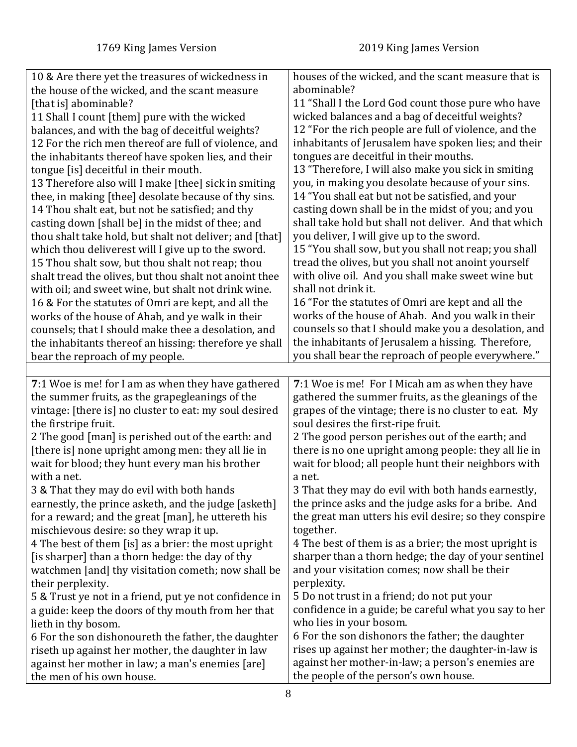<span id="page-7-0"></span>

| 10 & Are there yet the treasures of wickedness in                             | houses of the wicked, and the scant measure that is                                        |
|-------------------------------------------------------------------------------|--------------------------------------------------------------------------------------------|
| the house of the wicked, and the scant measure                                | abominable?                                                                                |
| [that is] abominable?                                                         | 11 "Shall I the Lord God count those pure who have                                         |
| 11 Shall I count [them] pure with the wicked                                  | wicked balances and a bag of deceitful weights?                                            |
| balances, and with the bag of deceitful weights?                              | 12 "For the rich people are full of violence, and the                                      |
| 12 For the rich men thereof are full of violence, and                         | inhabitants of Jerusalem have spoken lies; and their                                       |
| the inhabitants thereof have spoken lies, and their                           | tongues are deceitful in their mouths.                                                     |
| tongue [is] deceitful in their mouth.                                         | 13 "Therefore, I will also make you sick in smiting                                        |
| 13 Therefore also will I make [thee] sick in smiting                          | you, in making you desolate because of your sins.                                          |
| thee, in making [thee] desolate because of thy sins.                          | 14 "You shall eat but not be satisfied, and your                                           |
| 14 Thou shalt eat, but not be satisfied; and thy                              | casting down shall be in the midst of you; and you                                         |
| casting down [shall be] in the midst of thee; and                             | shall take hold but shall not deliver. And that which                                      |
| thou shalt take hold, but shalt not deliver; and [that]                       | you deliver, I will give up to the sword.                                                  |
| which thou deliverest will I give up to the sword.                            | 15 "You shall sow, but you shall not reap; you shall                                       |
| 15 Thou shalt sow, but thou shalt not reap; thou                              | tread the olives, but you shall not anoint yourself                                        |
| shalt tread the olives, but thou shalt not anoint thee                        | with olive oil. And you shall make sweet wine but                                          |
| with oil; and sweet wine, but shalt not drink wine.                           | shall not drink it.                                                                        |
| 16 & For the statutes of Omri are kept, and all the                           | 16 "For the statutes of Omri are kept and all the                                          |
| works of the house of Ahab, and ye walk in their                              | works of the house of Ahab. And you walk in their                                          |
| counsels; that I should make thee a desolation, and                           | counsels so that I should make you a desolation, and                                       |
| the inhabitants thereof an hissing: therefore ye shall                        | the inhabitants of Jerusalem a hissing. Therefore,                                         |
| bear the reproach of my people.                                               | you shall bear the reproach of people everywhere."                                         |
|                                                                               |                                                                                            |
|                                                                               |                                                                                            |
| 7:1 Woe is me! for I am as when they have gathered                            | 7:1 Woe is me! For I Micah am as when they have                                            |
| the summer fruits, as the grapegleanings of the                               | gathered the summer fruits, as the gleanings of the                                        |
| vintage: [there is] no cluster to eat: my soul desired                        | grapes of the vintage; there is no cluster to eat. My                                      |
| the firstripe fruit.                                                          | soul desires the first-ripe fruit.                                                         |
| 2 The good [man] is perished out of the earth: and                            | 2 The good person perishes out of the earth; and                                           |
| [there is] none upright among men: they all lie in                            | there is no one upright among people: they all lie in                                      |
| wait for blood; they hunt every man his brother                               | wait for blood; all people hunt their neighbors with                                       |
| with a net.                                                                   | a net.                                                                                     |
| 3 & That they may do evil with both hands                                     | 3 That they may do evil with both hands earnestly,                                         |
| earnestly, the prince asketh, and the judge [asketh]                          | the prince asks and the judge asks for a bribe. And                                        |
| for a reward; and the great [man], he uttereth his                            | the great man utters his evil desire; so they conspire                                     |
| mischievous desire: so they wrap it up.                                       | together.                                                                                  |
| 4 The best of them [is] as a brier: the most upright                          | 4 The best of them is as a brier; the most upright is                                      |
| [is sharper] than a thorn hedge: the day of thy                               | sharper than a thorn hedge; the day of your sentinel                                       |
| watchmen [and] thy visitation cometh; now shall be                            | and your visitation comes; now shall be their                                              |
| their perplexity.                                                             | perplexity.                                                                                |
| 5 & Trust ye not in a friend, put ye not confidence in                        | 5 Do not trust in a friend; do not put your                                                |
| a guide: keep the doors of thy mouth from her that                            | confidence in a guide; be careful what you say to her                                      |
| lieth in thy bosom.                                                           | who lies in your bosom.                                                                    |
| 6 For the son dishonoureth the father, the daughter                           | 6 For the son dishonors the father; the daughter                                           |
| riseth up against her mother, the daughter in law                             | rises up against her mother; the daughter-in-law is                                        |
| against her mother in law; a man's enemies [are]<br>the men of his own house. | against her mother-in-law; a person's enemies are<br>the people of the person's own house. |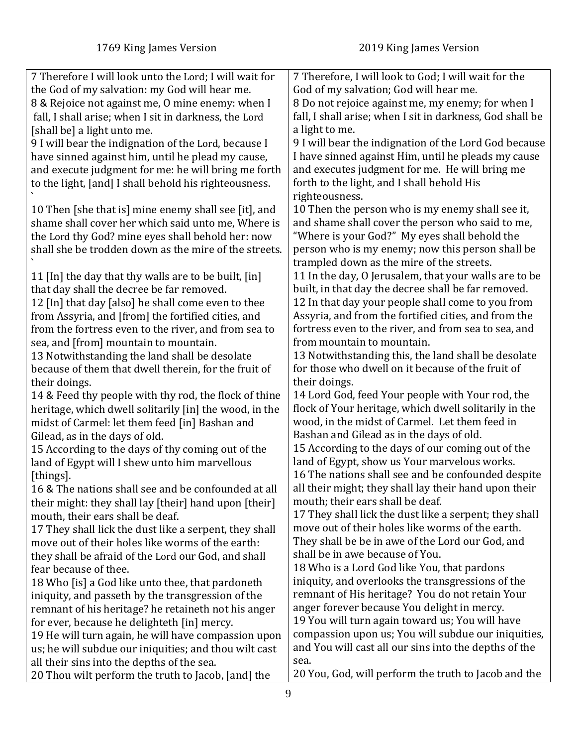| the God of my salvation: my God will hear me.<br>God of my salvation; God will hear me.<br>8 & Rejoice not against me, O mine enemy: when I<br>8 Do not rejoice against me, my enemy; for when I<br>fall, I shall arise; when I sit in darkness, the Lord<br>fall, I shall arise; when I sit in darkness, God shall be<br>a light to me.<br>[shall be] a light unto me.<br>9 I will bear the indignation of the Lord, because I<br>9 I will bear the indignation of the Lord God because<br>I have sinned against Him, until he pleads my cause<br>have sinned against him, until he plead my cause,<br>and executes judgment for me. He will bring me<br>and execute judgment for me: he will bring me forth<br>forth to the light, and I shall behold His<br>to the light, [and] I shall behold his righteousness.<br>righteousness.<br>10 Then the person who is my enemy shall see it,<br>10 Then [she that is] mine enemy shall see [it], and<br>and shame shall cover the person who said to me,<br>shame shall cover her which said unto me, Where is<br>"Where is your God?" My eyes shall behold the<br>the Lord thy God? mine eyes shall behold her: now<br>person who is my enemy; now this person shall be<br>shall she be trodden down as the mire of the streets.<br>trampled down as the mire of the streets.<br>11 In the day, O Jerusalem, that your walls are to be<br>11 [In] the day that thy walls are to be built, [in]<br>built, in that day the decree shall be far removed.<br>that day shall the decree be far removed.<br>12 In that day your people shall come to you from<br>12 [In] that day [also] he shall come even to thee<br>Assyria, and from the fortified cities, and from the<br>from Assyria, and [from] the fortified cities, and<br>fortress even to the river, and from sea to sea, and<br>from the fortress even to the river, and from sea to<br>from mountain to mountain.<br>sea, and [from] mountain to mountain.<br>13 Notwithstanding this, the land shall be desolate<br>13 Notwithstanding the land shall be desolate<br>for those who dwell on it because of the fruit of<br>because of them that dwell therein, for the fruit of<br>their doings.<br>their doings.<br>14 Lord God, feed Your people with Your rod, the<br>14 & Feed thy people with thy rod, the flock of thine<br>flock of Your heritage, which dwell solitarily in the<br>heritage, which dwell solitarily [in] the wood, in the<br>wood, in the midst of Carmel. Let them feed in<br>midst of Carmel: let them feed [in] Bashan and<br>Bashan and Gilead as in the days of old.<br>Gilead, as in the days of old.<br>15 According to the days of our coming out of the<br>15 According to the days of thy coming out of the<br>land of Egypt, show us Your marvelous works.<br>land of Egypt will I shew unto him marvellous<br>16 The nations shall see and be confounded despite<br>[things].<br>all their might; they shall lay their hand upon their<br>16 & The nations shall see and be confounded at all<br>mouth; their ears shall be deaf.<br>their might: they shall lay [their] hand upon [their]<br>17 They shall lick the dust like a serpent; they shall<br>mouth, their ears shall be deaf.<br>move out of their holes like worms of the earth.<br>17 They shall lick the dust like a serpent, they shall<br>They shall be be in awe of the Lord our God, and<br>move out of their holes like worms of the earth:<br>shall be in awe because of You.<br>they shall be afraid of the Lord our God, and shall<br>18 Who is a Lord God like You, that pardons<br>fear because of thee.<br>iniquity, and overlooks the transgressions of the<br>18 Who [is] a God like unto thee, that pardoneth | 7 Therefore I will look unto the Lord; I will wait for | 7 Therefore, I will look to God; I will wait for the |
|--------------------------------------------------------------------------------------------------------------------------------------------------------------------------------------------------------------------------------------------------------------------------------------------------------------------------------------------------------------------------------------------------------------------------------------------------------------------------------------------------------------------------------------------------------------------------------------------------------------------------------------------------------------------------------------------------------------------------------------------------------------------------------------------------------------------------------------------------------------------------------------------------------------------------------------------------------------------------------------------------------------------------------------------------------------------------------------------------------------------------------------------------------------------------------------------------------------------------------------------------------------------------------------------------------------------------------------------------------------------------------------------------------------------------------------------------------------------------------------------------------------------------------------------------------------------------------------------------------------------------------------------------------------------------------------------------------------------------------------------------------------------------------------------------------------------------------------------------------------------------------------------------------------------------------------------------------------------------------------------------------------------------------------------------------------------------------------------------------------------------------------------------------------------------------------------------------------------------------------------------------------------------------------------------------------------------------------------------------------------------------------------------------------------------------------------------------------------------------------------------------------------------------------------------------------------------------------------------------------------------------------------------------------------------------------------------------------------------------------------------------------------------------------------------------------------------------------------------------------------------------------------------------------------------------------------------------------------------------------------------------------------------------------------------------------------------------------------------------------------------------------------------------------------------------------------------------------------------------------------------------------------------------------------------------------------------------------------------------------------------------------------------------------------------------------------------------------------------------------------------------------------------------------------------------------------------------------------------------------------------------------------------------------------------------------------------------------------------------------|--------------------------------------------------------|------------------------------------------------------|
|                                                                                                                                                                                                                                                                                                                                                                                                                                                                                                                                                                                                                                                                                                                                                                                                                                                                                                                                                                                                                                                                                                                                                                                                                                                                                                                                                                                                                                                                                                                                                                                                                                                                                                                                                                                                                                                                                                                                                                                                                                                                                                                                                                                                                                                                                                                                                                                                                                                                                                                                                                                                                                                                                                                                                                                                                                                                                                                                                                                                                                                                                                                                                                                                                                                                                                                                                                                                                                                                                                                                                                                                                                                                                                                                      |                                                        |                                                      |
|                                                                                                                                                                                                                                                                                                                                                                                                                                                                                                                                                                                                                                                                                                                                                                                                                                                                                                                                                                                                                                                                                                                                                                                                                                                                                                                                                                                                                                                                                                                                                                                                                                                                                                                                                                                                                                                                                                                                                                                                                                                                                                                                                                                                                                                                                                                                                                                                                                                                                                                                                                                                                                                                                                                                                                                                                                                                                                                                                                                                                                                                                                                                                                                                                                                                                                                                                                                                                                                                                                                                                                                                                                                                                                                                      |                                                        |                                                      |
|                                                                                                                                                                                                                                                                                                                                                                                                                                                                                                                                                                                                                                                                                                                                                                                                                                                                                                                                                                                                                                                                                                                                                                                                                                                                                                                                                                                                                                                                                                                                                                                                                                                                                                                                                                                                                                                                                                                                                                                                                                                                                                                                                                                                                                                                                                                                                                                                                                                                                                                                                                                                                                                                                                                                                                                                                                                                                                                                                                                                                                                                                                                                                                                                                                                                                                                                                                                                                                                                                                                                                                                                                                                                                                                                      |                                                        |                                                      |
|                                                                                                                                                                                                                                                                                                                                                                                                                                                                                                                                                                                                                                                                                                                                                                                                                                                                                                                                                                                                                                                                                                                                                                                                                                                                                                                                                                                                                                                                                                                                                                                                                                                                                                                                                                                                                                                                                                                                                                                                                                                                                                                                                                                                                                                                                                                                                                                                                                                                                                                                                                                                                                                                                                                                                                                                                                                                                                                                                                                                                                                                                                                                                                                                                                                                                                                                                                                                                                                                                                                                                                                                                                                                                                                                      |                                                        |                                                      |
|                                                                                                                                                                                                                                                                                                                                                                                                                                                                                                                                                                                                                                                                                                                                                                                                                                                                                                                                                                                                                                                                                                                                                                                                                                                                                                                                                                                                                                                                                                                                                                                                                                                                                                                                                                                                                                                                                                                                                                                                                                                                                                                                                                                                                                                                                                                                                                                                                                                                                                                                                                                                                                                                                                                                                                                                                                                                                                                                                                                                                                                                                                                                                                                                                                                                                                                                                                                                                                                                                                                                                                                                                                                                                                                                      |                                                        |                                                      |
|                                                                                                                                                                                                                                                                                                                                                                                                                                                                                                                                                                                                                                                                                                                                                                                                                                                                                                                                                                                                                                                                                                                                                                                                                                                                                                                                                                                                                                                                                                                                                                                                                                                                                                                                                                                                                                                                                                                                                                                                                                                                                                                                                                                                                                                                                                                                                                                                                                                                                                                                                                                                                                                                                                                                                                                                                                                                                                                                                                                                                                                                                                                                                                                                                                                                                                                                                                                                                                                                                                                                                                                                                                                                                                                                      |                                                        |                                                      |
|                                                                                                                                                                                                                                                                                                                                                                                                                                                                                                                                                                                                                                                                                                                                                                                                                                                                                                                                                                                                                                                                                                                                                                                                                                                                                                                                                                                                                                                                                                                                                                                                                                                                                                                                                                                                                                                                                                                                                                                                                                                                                                                                                                                                                                                                                                                                                                                                                                                                                                                                                                                                                                                                                                                                                                                                                                                                                                                                                                                                                                                                                                                                                                                                                                                                                                                                                                                                                                                                                                                                                                                                                                                                                                                                      |                                                        |                                                      |
|                                                                                                                                                                                                                                                                                                                                                                                                                                                                                                                                                                                                                                                                                                                                                                                                                                                                                                                                                                                                                                                                                                                                                                                                                                                                                                                                                                                                                                                                                                                                                                                                                                                                                                                                                                                                                                                                                                                                                                                                                                                                                                                                                                                                                                                                                                                                                                                                                                                                                                                                                                                                                                                                                                                                                                                                                                                                                                                                                                                                                                                                                                                                                                                                                                                                                                                                                                                                                                                                                                                                                                                                                                                                                                                                      |                                                        |                                                      |
|                                                                                                                                                                                                                                                                                                                                                                                                                                                                                                                                                                                                                                                                                                                                                                                                                                                                                                                                                                                                                                                                                                                                                                                                                                                                                                                                                                                                                                                                                                                                                                                                                                                                                                                                                                                                                                                                                                                                                                                                                                                                                                                                                                                                                                                                                                                                                                                                                                                                                                                                                                                                                                                                                                                                                                                                                                                                                                                                                                                                                                                                                                                                                                                                                                                                                                                                                                                                                                                                                                                                                                                                                                                                                                                                      |                                                        |                                                      |
|                                                                                                                                                                                                                                                                                                                                                                                                                                                                                                                                                                                                                                                                                                                                                                                                                                                                                                                                                                                                                                                                                                                                                                                                                                                                                                                                                                                                                                                                                                                                                                                                                                                                                                                                                                                                                                                                                                                                                                                                                                                                                                                                                                                                                                                                                                                                                                                                                                                                                                                                                                                                                                                                                                                                                                                                                                                                                                                                                                                                                                                                                                                                                                                                                                                                                                                                                                                                                                                                                                                                                                                                                                                                                                                                      |                                                        |                                                      |
|                                                                                                                                                                                                                                                                                                                                                                                                                                                                                                                                                                                                                                                                                                                                                                                                                                                                                                                                                                                                                                                                                                                                                                                                                                                                                                                                                                                                                                                                                                                                                                                                                                                                                                                                                                                                                                                                                                                                                                                                                                                                                                                                                                                                                                                                                                                                                                                                                                                                                                                                                                                                                                                                                                                                                                                                                                                                                                                                                                                                                                                                                                                                                                                                                                                                                                                                                                                                                                                                                                                                                                                                                                                                                                                                      |                                                        |                                                      |
|                                                                                                                                                                                                                                                                                                                                                                                                                                                                                                                                                                                                                                                                                                                                                                                                                                                                                                                                                                                                                                                                                                                                                                                                                                                                                                                                                                                                                                                                                                                                                                                                                                                                                                                                                                                                                                                                                                                                                                                                                                                                                                                                                                                                                                                                                                                                                                                                                                                                                                                                                                                                                                                                                                                                                                                                                                                                                                                                                                                                                                                                                                                                                                                                                                                                                                                                                                                                                                                                                                                                                                                                                                                                                                                                      |                                                        |                                                      |
|                                                                                                                                                                                                                                                                                                                                                                                                                                                                                                                                                                                                                                                                                                                                                                                                                                                                                                                                                                                                                                                                                                                                                                                                                                                                                                                                                                                                                                                                                                                                                                                                                                                                                                                                                                                                                                                                                                                                                                                                                                                                                                                                                                                                                                                                                                                                                                                                                                                                                                                                                                                                                                                                                                                                                                                                                                                                                                                                                                                                                                                                                                                                                                                                                                                                                                                                                                                                                                                                                                                                                                                                                                                                                                                                      |                                                        |                                                      |
|                                                                                                                                                                                                                                                                                                                                                                                                                                                                                                                                                                                                                                                                                                                                                                                                                                                                                                                                                                                                                                                                                                                                                                                                                                                                                                                                                                                                                                                                                                                                                                                                                                                                                                                                                                                                                                                                                                                                                                                                                                                                                                                                                                                                                                                                                                                                                                                                                                                                                                                                                                                                                                                                                                                                                                                                                                                                                                                                                                                                                                                                                                                                                                                                                                                                                                                                                                                                                                                                                                                                                                                                                                                                                                                                      |                                                        |                                                      |
|                                                                                                                                                                                                                                                                                                                                                                                                                                                                                                                                                                                                                                                                                                                                                                                                                                                                                                                                                                                                                                                                                                                                                                                                                                                                                                                                                                                                                                                                                                                                                                                                                                                                                                                                                                                                                                                                                                                                                                                                                                                                                                                                                                                                                                                                                                                                                                                                                                                                                                                                                                                                                                                                                                                                                                                                                                                                                                                                                                                                                                                                                                                                                                                                                                                                                                                                                                                                                                                                                                                                                                                                                                                                                                                                      |                                                        |                                                      |
|                                                                                                                                                                                                                                                                                                                                                                                                                                                                                                                                                                                                                                                                                                                                                                                                                                                                                                                                                                                                                                                                                                                                                                                                                                                                                                                                                                                                                                                                                                                                                                                                                                                                                                                                                                                                                                                                                                                                                                                                                                                                                                                                                                                                                                                                                                                                                                                                                                                                                                                                                                                                                                                                                                                                                                                                                                                                                                                                                                                                                                                                                                                                                                                                                                                                                                                                                                                                                                                                                                                                                                                                                                                                                                                                      |                                                        |                                                      |
|                                                                                                                                                                                                                                                                                                                                                                                                                                                                                                                                                                                                                                                                                                                                                                                                                                                                                                                                                                                                                                                                                                                                                                                                                                                                                                                                                                                                                                                                                                                                                                                                                                                                                                                                                                                                                                                                                                                                                                                                                                                                                                                                                                                                                                                                                                                                                                                                                                                                                                                                                                                                                                                                                                                                                                                                                                                                                                                                                                                                                                                                                                                                                                                                                                                                                                                                                                                                                                                                                                                                                                                                                                                                                                                                      |                                                        |                                                      |
|                                                                                                                                                                                                                                                                                                                                                                                                                                                                                                                                                                                                                                                                                                                                                                                                                                                                                                                                                                                                                                                                                                                                                                                                                                                                                                                                                                                                                                                                                                                                                                                                                                                                                                                                                                                                                                                                                                                                                                                                                                                                                                                                                                                                                                                                                                                                                                                                                                                                                                                                                                                                                                                                                                                                                                                                                                                                                                                                                                                                                                                                                                                                                                                                                                                                                                                                                                                                                                                                                                                                                                                                                                                                                                                                      |                                                        |                                                      |
|                                                                                                                                                                                                                                                                                                                                                                                                                                                                                                                                                                                                                                                                                                                                                                                                                                                                                                                                                                                                                                                                                                                                                                                                                                                                                                                                                                                                                                                                                                                                                                                                                                                                                                                                                                                                                                                                                                                                                                                                                                                                                                                                                                                                                                                                                                                                                                                                                                                                                                                                                                                                                                                                                                                                                                                                                                                                                                                                                                                                                                                                                                                                                                                                                                                                                                                                                                                                                                                                                                                                                                                                                                                                                                                                      |                                                        |                                                      |
|                                                                                                                                                                                                                                                                                                                                                                                                                                                                                                                                                                                                                                                                                                                                                                                                                                                                                                                                                                                                                                                                                                                                                                                                                                                                                                                                                                                                                                                                                                                                                                                                                                                                                                                                                                                                                                                                                                                                                                                                                                                                                                                                                                                                                                                                                                                                                                                                                                                                                                                                                                                                                                                                                                                                                                                                                                                                                                                                                                                                                                                                                                                                                                                                                                                                                                                                                                                                                                                                                                                                                                                                                                                                                                                                      |                                                        |                                                      |
|                                                                                                                                                                                                                                                                                                                                                                                                                                                                                                                                                                                                                                                                                                                                                                                                                                                                                                                                                                                                                                                                                                                                                                                                                                                                                                                                                                                                                                                                                                                                                                                                                                                                                                                                                                                                                                                                                                                                                                                                                                                                                                                                                                                                                                                                                                                                                                                                                                                                                                                                                                                                                                                                                                                                                                                                                                                                                                                                                                                                                                                                                                                                                                                                                                                                                                                                                                                                                                                                                                                                                                                                                                                                                                                                      |                                                        |                                                      |
|                                                                                                                                                                                                                                                                                                                                                                                                                                                                                                                                                                                                                                                                                                                                                                                                                                                                                                                                                                                                                                                                                                                                                                                                                                                                                                                                                                                                                                                                                                                                                                                                                                                                                                                                                                                                                                                                                                                                                                                                                                                                                                                                                                                                                                                                                                                                                                                                                                                                                                                                                                                                                                                                                                                                                                                                                                                                                                                                                                                                                                                                                                                                                                                                                                                                                                                                                                                                                                                                                                                                                                                                                                                                                                                                      |                                                        |                                                      |
|                                                                                                                                                                                                                                                                                                                                                                                                                                                                                                                                                                                                                                                                                                                                                                                                                                                                                                                                                                                                                                                                                                                                                                                                                                                                                                                                                                                                                                                                                                                                                                                                                                                                                                                                                                                                                                                                                                                                                                                                                                                                                                                                                                                                                                                                                                                                                                                                                                                                                                                                                                                                                                                                                                                                                                                                                                                                                                                                                                                                                                                                                                                                                                                                                                                                                                                                                                                                                                                                                                                                                                                                                                                                                                                                      |                                                        |                                                      |
|                                                                                                                                                                                                                                                                                                                                                                                                                                                                                                                                                                                                                                                                                                                                                                                                                                                                                                                                                                                                                                                                                                                                                                                                                                                                                                                                                                                                                                                                                                                                                                                                                                                                                                                                                                                                                                                                                                                                                                                                                                                                                                                                                                                                                                                                                                                                                                                                                                                                                                                                                                                                                                                                                                                                                                                                                                                                                                                                                                                                                                                                                                                                                                                                                                                                                                                                                                                                                                                                                                                                                                                                                                                                                                                                      |                                                        |                                                      |
|                                                                                                                                                                                                                                                                                                                                                                                                                                                                                                                                                                                                                                                                                                                                                                                                                                                                                                                                                                                                                                                                                                                                                                                                                                                                                                                                                                                                                                                                                                                                                                                                                                                                                                                                                                                                                                                                                                                                                                                                                                                                                                                                                                                                                                                                                                                                                                                                                                                                                                                                                                                                                                                                                                                                                                                                                                                                                                                                                                                                                                                                                                                                                                                                                                                                                                                                                                                                                                                                                                                                                                                                                                                                                                                                      |                                                        |                                                      |
|                                                                                                                                                                                                                                                                                                                                                                                                                                                                                                                                                                                                                                                                                                                                                                                                                                                                                                                                                                                                                                                                                                                                                                                                                                                                                                                                                                                                                                                                                                                                                                                                                                                                                                                                                                                                                                                                                                                                                                                                                                                                                                                                                                                                                                                                                                                                                                                                                                                                                                                                                                                                                                                                                                                                                                                                                                                                                                                                                                                                                                                                                                                                                                                                                                                                                                                                                                                                                                                                                                                                                                                                                                                                                                                                      |                                                        |                                                      |
|                                                                                                                                                                                                                                                                                                                                                                                                                                                                                                                                                                                                                                                                                                                                                                                                                                                                                                                                                                                                                                                                                                                                                                                                                                                                                                                                                                                                                                                                                                                                                                                                                                                                                                                                                                                                                                                                                                                                                                                                                                                                                                                                                                                                                                                                                                                                                                                                                                                                                                                                                                                                                                                                                                                                                                                                                                                                                                                                                                                                                                                                                                                                                                                                                                                                                                                                                                                                                                                                                                                                                                                                                                                                                                                                      |                                                        |                                                      |
|                                                                                                                                                                                                                                                                                                                                                                                                                                                                                                                                                                                                                                                                                                                                                                                                                                                                                                                                                                                                                                                                                                                                                                                                                                                                                                                                                                                                                                                                                                                                                                                                                                                                                                                                                                                                                                                                                                                                                                                                                                                                                                                                                                                                                                                                                                                                                                                                                                                                                                                                                                                                                                                                                                                                                                                                                                                                                                                                                                                                                                                                                                                                                                                                                                                                                                                                                                                                                                                                                                                                                                                                                                                                                                                                      |                                                        |                                                      |
|                                                                                                                                                                                                                                                                                                                                                                                                                                                                                                                                                                                                                                                                                                                                                                                                                                                                                                                                                                                                                                                                                                                                                                                                                                                                                                                                                                                                                                                                                                                                                                                                                                                                                                                                                                                                                                                                                                                                                                                                                                                                                                                                                                                                                                                                                                                                                                                                                                                                                                                                                                                                                                                                                                                                                                                                                                                                                                                                                                                                                                                                                                                                                                                                                                                                                                                                                                                                                                                                                                                                                                                                                                                                                                                                      |                                                        |                                                      |
|                                                                                                                                                                                                                                                                                                                                                                                                                                                                                                                                                                                                                                                                                                                                                                                                                                                                                                                                                                                                                                                                                                                                                                                                                                                                                                                                                                                                                                                                                                                                                                                                                                                                                                                                                                                                                                                                                                                                                                                                                                                                                                                                                                                                                                                                                                                                                                                                                                                                                                                                                                                                                                                                                                                                                                                                                                                                                                                                                                                                                                                                                                                                                                                                                                                                                                                                                                                                                                                                                                                                                                                                                                                                                                                                      |                                                        |                                                      |
|                                                                                                                                                                                                                                                                                                                                                                                                                                                                                                                                                                                                                                                                                                                                                                                                                                                                                                                                                                                                                                                                                                                                                                                                                                                                                                                                                                                                                                                                                                                                                                                                                                                                                                                                                                                                                                                                                                                                                                                                                                                                                                                                                                                                                                                                                                                                                                                                                                                                                                                                                                                                                                                                                                                                                                                                                                                                                                                                                                                                                                                                                                                                                                                                                                                                                                                                                                                                                                                                                                                                                                                                                                                                                                                                      |                                                        |                                                      |
|                                                                                                                                                                                                                                                                                                                                                                                                                                                                                                                                                                                                                                                                                                                                                                                                                                                                                                                                                                                                                                                                                                                                                                                                                                                                                                                                                                                                                                                                                                                                                                                                                                                                                                                                                                                                                                                                                                                                                                                                                                                                                                                                                                                                                                                                                                                                                                                                                                                                                                                                                                                                                                                                                                                                                                                                                                                                                                                                                                                                                                                                                                                                                                                                                                                                                                                                                                                                                                                                                                                                                                                                                                                                                                                                      |                                                        |                                                      |
|                                                                                                                                                                                                                                                                                                                                                                                                                                                                                                                                                                                                                                                                                                                                                                                                                                                                                                                                                                                                                                                                                                                                                                                                                                                                                                                                                                                                                                                                                                                                                                                                                                                                                                                                                                                                                                                                                                                                                                                                                                                                                                                                                                                                                                                                                                                                                                                                                                                                                                                                                                                                                                                                                                                                                                                                                                                                                                                                                                                                                                                                                                                                                                                                                                                                                                                                                                                                                                                                                                                                                                                                                                                                                                                                      |                                                        |                                                      |
|                                                                                                                                                                                                                                                                                                                                                                                                                                                                                                                                                                                                                                                                                                                                                                                                                                                                                                                                                                                                                                                                                                                                                                                                                                                                                                                                                                                                                                                                                                                                                                                                                                                                                                                                                                                                                                                                                                                                                                                                                                                                                                                                                                                                                                                                                                                                                                                                                                                                                                                                                                                                                                                                                                                                                                                                                                                                                                                                                                                                                                                                                                                                                                                                                                                                                                                                                                                                                                                                                                                                                                                                                                                                                                                                      |                                                        |                                                      |
|                                                                                                                                                                                                                                                                                                                                                                                                                                                                                                                                                                                                                                                                                                                                                                                                                                                                                                                                                                                                                                                                                                                                                                                                                                                                                                                                                                                                                                                                                                                                                                                                                                                                                                                                                                                                                                                                                                                                                                                                                                                                                                                                                                                                                                                                                                                                                                                                                                                                                                                                                                                                                                                                                                                                                                                                                                                                                                                                                                                                                                                                                                                                                                                                                                                                                                                                                                                                                                                                                                                                                                                                                                                                                                                                      |                                                        |                                                      |
|                                                                                                                                                                                                                                                                                                                                                                                                                                                                                                                                                                                                                                                                                                                                                                                                                                                                                                                                                                                                                                                                                                                                                                                                                                                                                                                                                                                                                                                                                                                                                                                                                                                                                                                                                                                                                                                                                                                                                                                                                                                                                                                                                                                                                                                                                                                                                                                                                                                                                                                                                                                                                                                                                                                                                                                                                                                                                                                                                                                                                                                                                                                                                                                                                                                                                                                                                                                                                                                                                                                                                                                                                                                                                                                                      |                                                        |                                                      |
|                                                                                                                                                                                                                                                                                                                                                                                                                                                                                                                                                                                                                                                                                                                                                                                                                                                                                                                                                                                                                                                                                                                                                                                                                                                                                                                                                                                                                                                                                                                                                                                                                                                                                                                                                                                                                                                                                                                                                                                                                                                                                                                                                                                                                                                                                                                                                                                                                                                                                                                                                                                                                                                                                                                                                                                                                                                                                                                                                                                                                                                                                                                                                                                                                                                                                                                                                                                                                                                                                                                                                                                                                                                                                                                                      |                                                        |                                                      |
|                                                                                                                                                                                                                                                                                                                                                                                                                                                                                                                                                                                                                                                                                                                                                                                                                                                                                                                                                                                                                                                                                                                                                                                                                                                                                                                                                                                                                                                                                                                                                                                                                                                                                                                                                                                                                                                                                                                                                                                                                                                                                                                                                                                                                                                                                                                                                                                                                                                                                                                                                                                                                                                                                                                                                                                                                                                                                                                                                                                                                                                                                                                                                                                                                                                                                                                                                                                                                                                                                                                                                                                                                                                                                                                                      |                                                        |                                                      |
|                                                                                                                                                                                                                                                                                                                                                                                                                                                                                                                                                                                                                                                                                                                                                                                                                                                                                                                                                                                                                                                                                                                                                                                                                                                                                                                                                                                                                                                                                                                                                                                                                                                                                                                                                                                                                                                                                                                                                                                                                                                                                                                                                                                                                                                                                                                                                                                                                                                                                                                                                                                                                                                                                                                                                                                                                                                                                                                                                                                                                                                                                                                                                                                                                                                                                                                                                                                                                                                                                                                                                                                                                                                                                                                                      |                                                        |                                                      |
|                                                                                                                                                                                                                                                                                                                                                                                                                                                                                                                                                                                                                                                                                                                                                                                                                                                                                                                                                                                                                                                                                                                                                                                                                                                                                                                                                                                                                                                                                                                                                                                                                                                                                                                                                                                                                                                                                                                                                                                                                                                                                                                                                                                                                                                                                                                                                                                                                                                                                                                                                                                                                                                                                                                                                                                                                                                                                                                                                                                                                                                                                                                                                                                                                                                                                                                                                                                                                                                                                                                                                                                                                                                                                                                                      | iniquity, and passeth by the transgression of the      | remnant of His heritage? You do not retain Your      |
| anger forever because You delight in mercy.<br>remnant of his heritage? he retaineth not his anger                                                                                                                                                                                                                                                                                                                                                                                                                                                                                                                                                                                                                                                                                                                                                                                                                                                                                                                                                                                                                                                                                                                                                                                                                                                                                                                                                                                                                                                                                                                                                                                                                                                                                                                                                                                                                                                                                                                                                                                                                                                                                                                                                                                                                                                                                                                                                                                                                                                                                                                                                                                                                                                                                                                                                                                                                                                                                                                                                                                                                                                                                                                                                                                                                                                                                                                                                                                                                                                                                                                                                                                                                                   |                                                        |                                                      |
| 19 You will turn again toward us; You will have<br>for ever, because he delighteth [in] mercy.                                                                                                                                                                                                                                                                                                                                                                                                                                                                                                                                                                                                                                                                                                                                                                                                                                                                                                                                                                                                                                                                                                                                                                                                                                                                                                                                                                                                                                                                                                                                                                                                                                                                                                                                                                                                                                                                                                                                                                                                                                                                                                                                                                                                                                                                                                                                                                                                                                                                                                                                                                                                                                                                                                                                                                                                                                                                                                                                                                                                                                                                                                                                                                                                                                                                                                                                                                                                                                                                                                                                                                                                                                       |                                                        |                                                      |
| compassion upon us; You will subdue our iniquities,<br>19 He will turn again, he will have compassion upon                                                                                                                                                                                                                                                                                                                                                                                                                                                                                                                                                                                                                                                                                                                                                                                                                                                                                                                                                                                                                                                                                                                                                                                                                                                                                                                                                                                                                                                                                                                                                                                                                                                                                                                                                                                                                                                                                                                                                                                                                                                                                                                                                                                                                                                                                                                                                                                                                                                                                                                                                                                                                                                                                                                                                                                                                                                                                                                                                                                                                                                                                                                                                                                                                                                                                                                                                                                                                                                                                                                                                                                                                           |                                                        |                                                      |
| and You will cast all our sins into the depths of the<br>us; he will subdue our iniquities; and thou wilt cast                                                                                                                                                                                                                                                                                                                                                                                                                                                                                                                                                                                                                                                                                                                                                                                                                                                                                                                                                                                                                                                                                                                                                                                                                                                                                                                                                                                                                                                                                                                                                                                                                                                                                                                                                                                                                                                                                                                                                                                                                                                                                                                                                                                                                                                                                                                                                                                                                                                                                                                                                                                                                                                                                                                                                                                                                                                                                                                                                                                                                                                                                                                                                                                                                                                                                                                                                                                                                                                                                                                                                                                                                       |                                                        |                                                      |
| all their sins into the depths of the sea.<br>sea.                                                                                                                                                                                                                                                                                                                                                                                                                                                                                                                                                                                                                                                                                                                                                                                                                                                                                                                                                                                                                                                                                                                                                                                                                                                                                                                                                                                                                                                                                                                                                                                                                                                                                                                                                                                                                                                                                                                                                                                                                                                                                                                                                                                                                                                                                                                                                                                                                                                                                                                                                                                                                                                                                                                                                                                                                                                                                                                                                                                                                                                                                                                                                                                                                                                                                                                                                                                                                                                                                                                                                                                                                                                                                   |                                                        |                                                      |
| 20 You, God, will perform the truth to Jacob and the<br>20 Thou wilt perform the truth to Jacob, [and] the                                                                                                                                                                                                                                                                                                                                                                                                                                                                                                                                                                                                                                                                                                                                                                                                                                                                                                                                                                                                                                                                                                                                                                                                                                                                                                                                                                                                                                                                                                                                                                                                                                                                                                                                                                                                                                                                                                                                                                                                                                                                                                                                                                                                                                                                                                                                                                                                                                                                                                                                                                                                                                                                                                                                                                                                                                                                                                                                                                                                                                                                                                                                                                                                                                                                                                                                                                                                                                                                                                                                                                                                                           |                                                        |                                                      |